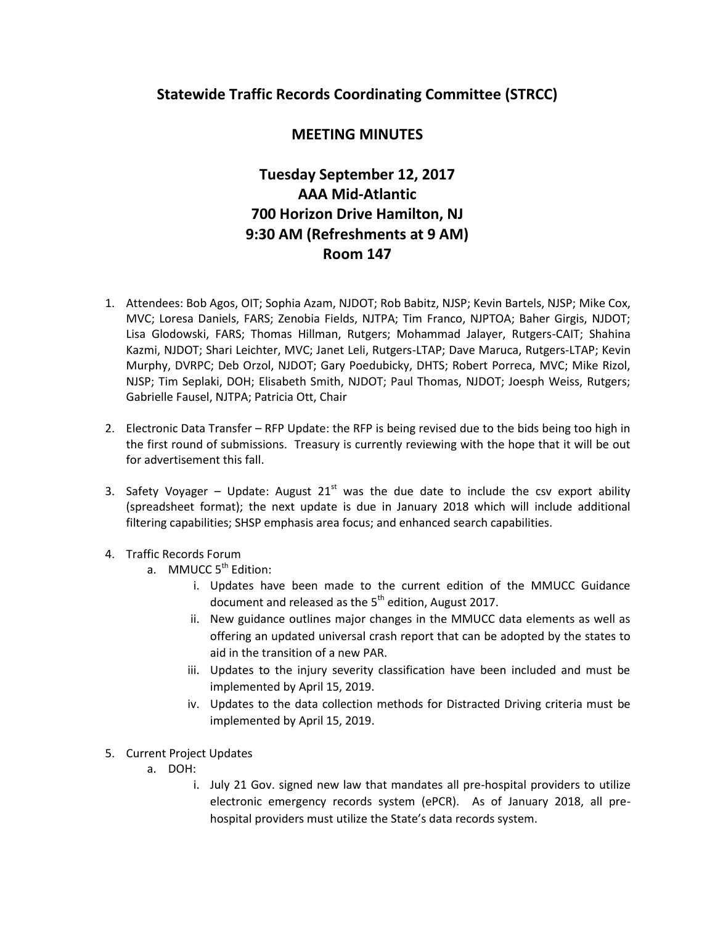## **Statewide Traffic Records Coordinating Committee (STRCC)**

## **MEETING MINUTES**

## **Tuesday September 12, 2017 AAA Mid-Atlantic 700 Horizon Drive Hamilton, NJ 9:30 AM (Refreshments at 9 AM) Room 147**

- 1. Attendees: Bob Agos, OIT; Sophia Azam, NJDOT; Rob Babitz, NJSP; Kevin Bartels, NJSP; Mike Cox, MVC; Loresa Daniels, FARS; Zenobia Fields, NJTPA; Tim Franco, NJPTOA; Baher Girgis, NJDOT; Lisa Glodowski, FARS; Thomas Hillman, Rutgers; Mohammad Jalayer, Rutgers-CAIT; Shahina Kazmi, NJDOT; Shari Leichter, MVC; Janet Leli, Rutgers-LTAP; Dave Maruca, Rutgers-LTAP; Kevin Murphy, DVRPC; Deb Orzol, NJDOT; Gary Poedubicky, DHTS; Robert Porreca, MVC; Mike Rizol, NJSP; Tim Seplaki, DOH; Elisabeth Smith, NJDOT; Paul Thomas, NJDOT; Joesph Weiss, Rutgers; Gabrielle Fausel, NJTPA; Patricia Ott, Chair
- 2. Electronic Data Transfer RFP Update: the RFP is being revised due to the bids being too high in the first round of submissions. Treasury is currently reviewing with the hope that it will be out for advertisement this fall.
- 3. Safety Voyager Update: August  $21^{st}$  was the due date to include the csv export ability (spreadsheet format); the next update is due in January 2018 which will include additional filtering capabilities; SHSP emphasis area focus; and enhanced search capabilities.
- 4. Traffic Records Forum
	- a. MMUCC 5<sup>th</sup> Edition:
		- i. Updates have been made to the current edition of the MMUCC Guidance document and released as the  $5<sup>th</sup>$  edition, August 2017.
		- ii. New guidance outlines major changes in the MMUCC data elements as well as offering an updated universal crash report that can be adopted by the states to aid in the transition of a new PAR.
		- iii. Updates to the injury severity classification have been included and must be implemented by April 15, 2019.
		- iv. Updates to the data collection methods for Distracted Driving criteria must be implemented by April 15, 2019.
- 5. Current Project Updates
	- a. DOH:
		- i. July 21 Gov. signed new law that mandates all pre-hospital providers to utilize electronic emergency records system (ePCR). As of January 2018, all prehospital providers must utilize the State's data records system.